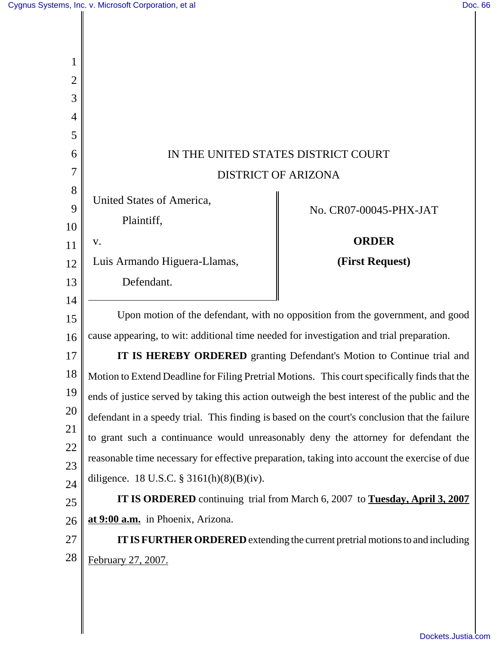